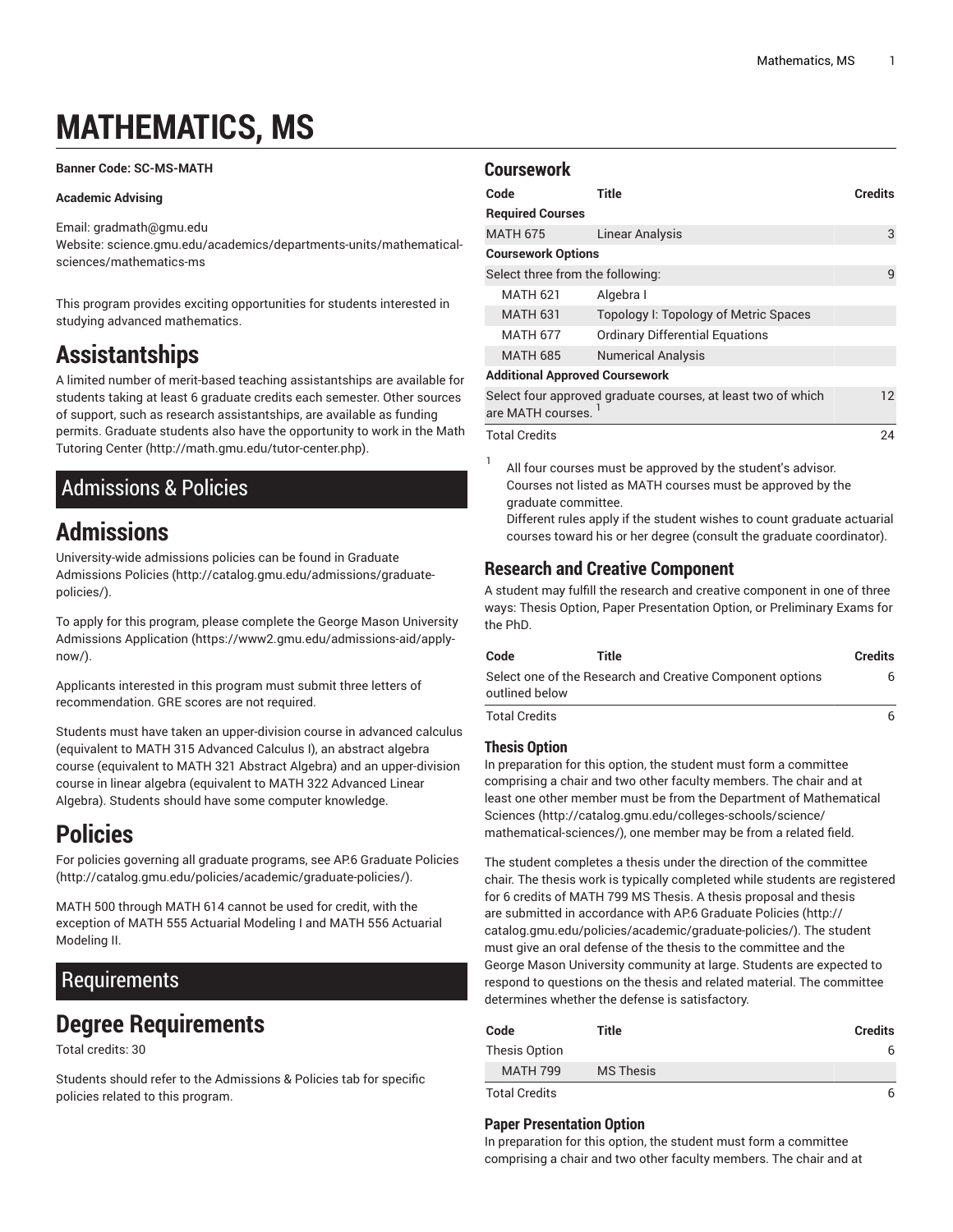# **MATHEMATICS, MS**

#### <span id="page-0-3"></span>**Banner Code: SC-MS-MATH**

#### **Academic Advising**

Email: [gradmath@gmu.edu](mailto:gradmath@gmu.edu) Website: science.gmu.edu/academics/departments-units/mathematicalsciences/mathematics-ms

This program provides exciting opportunities for students interested in studying advanced mathematics.

# **Assistantships**

A limited number of merit-based teaching assistantships are available for students taking at least 6 graduate credits each semester. Other sources of support, such as research assistantships, are available as funding permits. Graduate students also have the opportunity to work in the [Math](http://math.gmu.edu/tutor-center.php) [Tutoring](http://math.gmu.edu/tutor-center.php) Center [\(http://math.gmu.edu/tutor-center.php\)](http://math.gmu.edu/tutor-center.php).

# <span id="page-0-0"></span>Admissions & Policies

# **Admissions**

University-wide admissions policies can be found in [Graduate](http://catalog.gmu.edu/admissions/graduate-policies/) [Admissions](http://catalog.gmu.edu/admissions/graduate-policies/) Policies [\(http://catalog.gmu.edu/admissions/graduate](http://catalog.gmu.edu/admissions/graduate-policies/)[policies/](http://catalog.gmu.edu/admissions/graduate-policies/)).

To apply for this program, please complete the George Mason [University](https://www2.gmu.edu/admissions-aid/apply-now/) [Admissions Application](https://www2.gmu.edu/admissions-aid/apply-now/) ([https://www2.gmu.edu/admissions-aid/apply](https://www2.gmu.edu/admissions-aid/apply-now/)[now/](https://www2.gmu.edu/admissions-aid/apply-now/)).

Applicants interested in this program must submit three letters of recommendation. GRE scores are not required.

Students must have taken an upper-division course in advanced calculus (equivalent to MATH 315 Advanced Calculus I), an abstract algebra course (equivalent to MATH 321 Abstract Algebra) and an upper-division course in linear algebra (equivalent to MATH 322 Advanced Linear Algebra). Students should have some computer knowledge.

# **Policies**

For policies governing all graduate programs, see AP.6 [Graduate](http://catalog.gmu.edu/policies/academic/graduate-policies/) Policies ([http://catalog.gmu.edu/policies/academic/graduate-policies/\)](http://catalog.gmu.edu/policies/academic/graduate-policies/).

MATH 500 through MATH 614 cannot be used for credit, with the exception of MATH 555 Actuarial Modeling I and MATH 556 Actuarial Modeling II.

### Requirements

# **Degree Requirements**

Total credits: 30

Students should refer to the [Admissions](#page-0-0) & Policies tab for specific policies related to this program.

#### **Coursework**

| Code                                  | Title                                                                       | <b>Credits</b> |
|---------------------------------------|-----------------------------------------------------------------------------|----------------|
| <b>Required Courses</b>               |                                                                             |                |
| <b>MATH 675</b>                       | <b>Linear Analysis</b>                                                      | 3              |
| <b>Coursework Options</b>             |                                                                             |                |
| Select three from the following:      |                                                                             | 9              |
| <b>MATH 621</b>                       | Algebra I                                                                   |                |
| <b>MATH 631</b>                       | Topology I: Topology of Metric Spaces                                       |                |
| <b>MATH 677</b>                       | <b>Ordinary Differential Equations</b>                                      |                |
| <b>MATH 685</b>                       | <b>Numerical Analysis</b>                                                   |                |
| <b>Additional Approved Coursework</b> |                                                                             |                |
| are MATH courses.                     | Select four approved graduate courses, at least two of which                | 12             |
| <b>Total Credits</b>                  |                                                                             | 24             |
|                                       | All Contract the compact with the company of the calls of and conducted the |                |

All four courses must be approved by the student's advisor. Courses not listed as MATH courses must be approved by the graduate committee.

Different rules apply if the student wishes to count graduate actuarial courses toward his or her degree (consult the graduate coordinator).

### **Research and Creative Component**

A student may fulfill the research and creative component in one of three ways: [Thesis Option,](#page-0-1) Paper [Presentation](#page-0-2) Option, or [Preliminary](#page-1-0) Exams for [the PhD.](#page-1-0)

| Code                 | Title                                                     | Credits |
|----------------------|-----------------------------------------------------------|---------|
| outlined below       | Select one of the Research and Creative Component options | 6       |
| <b>Total Credits</b> |                                                           | 6       |

#### <span id="page-0-1"></span>**Thesis Option**

In preparation for this option, the student must form a committee comprising a chair and two other faculty members. The chair and at least one other member must be from the Department of [Mathematical](http://catalog.gmu.edu/colleges-schools/science/mathematical-sciences/) [Sciences](http://catalog.gmu.edu/colleges-schools/science/mathematical-sciences/) ([http://catalog.gmu.edu/colleges-schools/science/](http://catalog.gmu.edu/colleges-schools/science/mathematical-sciences/) [mathematical-sciences/](http://catalog.gmu.edu/colleges-schools/science/mathematical-sciences/)), one member may be from a related field.

The student completes a thesis under the direction of the committee chair. The thesis work is typically completed while students are registered for 6 credits of MATH 799 MS Thesis. A thesis proposal and thesis are submitted in accordance with AP.6 [Graduate](http://catalog.gmu.edu/policies/academic/graduate-policies/) Policies [\(http://](http://catalog.gmu.edu/policies/academic/graduate-policies/) [catalog.gmu.edu/policies/academic/graduate-policies/](http://catalog.gmu.edu/policies/academic/graduate-policies/)). The student must give an oral defense of the thesis to the committee and the George Mason University community at large. Students are expected to respond to questions on the thesis and related material. The committee determines whether the defense is satisfactory.

| Code            | Title            | <b>Credits</b> |
|-----------------|------------------|----------------|
| Thesis Option   |                  |                |
| <b>MATH 799</b> | <b>MS Thesis</b> |                |
| Total Credits   |                  |                |

#### <span id="page-0-2"></span>**Paper Presentation Option**

In preparation for this option, the student must form a committee comprising a chair and two other faculty members. The chair and at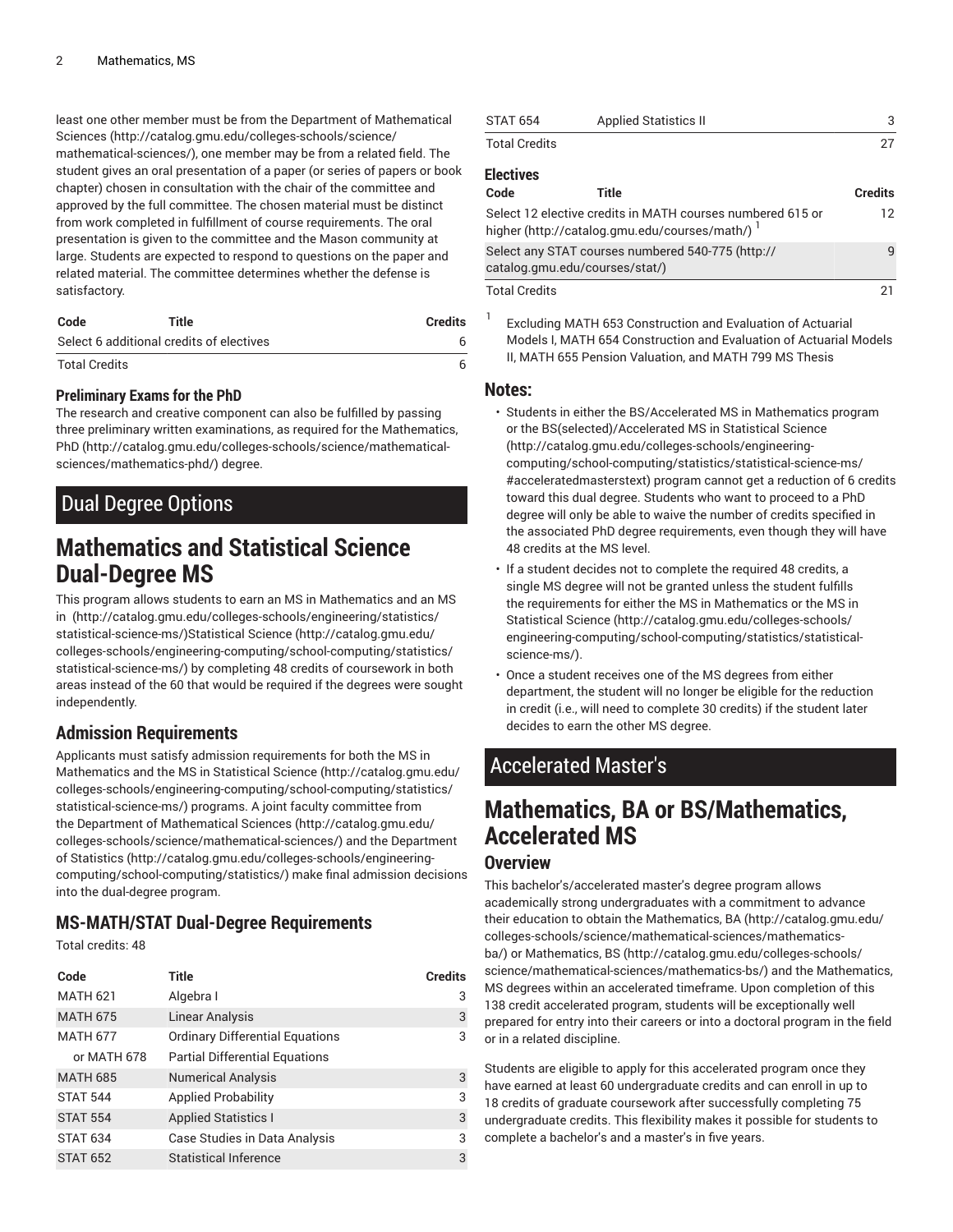least one other member must be from the Department of [Mathematical](http://catalog.gmu.edu/colleges-schools/science/mathematical-sciences/) [Sciences \(http://catalog.gmu.edu/colleges-schools/science/](http://catalog.gmu.edu/colleges-schools/science/mathematical-sciences/) [mathematical-sciences/](http://catalog.gmu.edu/colleges-schools/science/mathematical-sciences/)), one member may be from a related field. The student gives an oral presentation of a paper (or series of papers or book chapter) chosen in consultation with the chair of the committee and approved by the full committee. The chosen material must be distinct from work completed in fulfillment of course requirements. The oral presentation is given to the committee and the Mason community at large. Students are expected to respond to questions on the paper and related material. The committee determines whether the defense is satisfactory.

| Code                                     | Title | <b>Credits</b> |
|------------------------------------------|-------|----------------|
| Select 6 additional credits of electives |       |                |
| <b>Total Credits</b>                     |       |                |

#### <span id="page-1-0"></span>**Preliminary Exams for the PhD**

The research and creative component can also be fulfilled by passing three preliminary written examinations, as required for the [Mathematics,](http://catalog.gmu.edu/colleges-schools/science/mathematical-sciences/mathematics-phd/) [PhD](http://catalog.gmu.edu/colleges-schools/science/mathematical-sciences/mathematics-phd/) ([http://catalog.gmu.edu/colleges-schools/science/mathematical](http://catalog.gmu.edu/colleges-schools/science/mathematical-sciences/mathematics-phd/)[sciences/mathematics-phd/\)](http://catalog.gmu.edu/colleges-schools/science/mathematical-sciences/mathematics-phd/) degree.

## Dual Degree Options

# **Mathematics and Statistical Science Dual-Degree MS**

This program allows students to earn an [MS in Mathematics](#page-0-3) and an [MS](http://catalog.gmu.edu/colleges-schools/engineering/statistics/statistical-science-ms/) [in \(http://catalog.gmu.edu/colleges-schools/engineering/statistics/](http://catalog.gmu.edu/colleges-schools/engineering/statistics/statistical-science-ms/) [statistical-science-ms/](http://catalog.gmu.edu/colleges-schools/engineering/statistics/statistical-science-ms/))[Statistical Science \(http://catalog.gmu.edu/](http://catalog.gmu.edu/colleges-schools/engineering-computing/school-computing/statistics/statistical-science-ms/) [colleges-schools/engineering-computing/school-computing/statistics/](http://catalog.gmu.edu/colleges-schools/engineering-computing/school-computing/statistics/statistical-science-ms/) [statistical-science-ms/](http://catalog.gmu.edu/colleges-schools/engineering-computing/school-computing/statistics/statistical-science-ms/)) by completing 48 credits of coursework in both areas instead of the 60 that would be required if the degrees were sought independently.

### **Admission Requirements**

Applicants must satisfy admission requirements for both the [MS in](#page-0-3) [Mathematics](#page-0-3) and the [MS in Statistical Science](http://catalog.gmu.edu/colleges-schools/engineering-computing/school-computing/statistics/statistical-science-ms/) ([http://catalog.gmu.edu/](http://catalog.gmu.edu/colleges-schools/engineering-computing/school-computing/statistics/statistical-science-ms/) [colleges-schools/engineering-computing/school-computing/statistics/](http://catalog.gmu.edu/colleges-schools/engineering-computing/school-computing/statistics/statistical-science-ms/) [statistical-science-ms/](http://catalog.gmu.edu/colleges-schools/engineering-computing/school-computing/statistics/statistical-science-ms/)) programs. A joint faculty committee from the Department of [Mathematical](http://catalog.gmu.edu/colleges-schools/science/mathematical-sciences/) Sciences [\(http://catalog.gmu.edu/](http://catalog.gmu.edu/colleges-schools/science/mathematical-sciences/) [colleges-schools/science/mathematical-sciences/\)](http://catalog.gmu.edu/colleges-schools/science/mathematical-sciences/) and the [Department](http://catalog.gmu.edu/colleges-schools/engineering-computing/school-computing/statistics/) [of Statistics \(http://catalog.gmu.edu/colleges-schools/engineering](http://catalog.gmu.edu/colleges-schools/engineering-computing/school-computing/statistics/)[computing/school-computing/statistics/](http://catalog.gmu.edu/colleges-schools/engineering-computing/school-computing/statistics/)) make final admission decisions into the dual-degree program.

#### **MS-MATH/STAT Dual-Degree Requirements**

Total credits: 48

| Code            | Title                                  | <b>Credits</b> |
|-----------------|----------------------------------------|----------------|
| <b>MATH 621</b> | Algebra I                              | 3              |
| <b>MATH 675</b> | <b>Linear Analysis</b>                 | 3              |
| <b>MATH 677</b> | <b>Ordinary Differential Equations</b> | 3              |
| or MATH 678     | <b>Partial Differential Equations</b>  |                |
| <b>MATH 685</b> | <b>Numerical Analysis</b>              | 3              |
| <b>STAT 544</b> | <b>Applied Probability</b>             | 3              |
| <b>STAT 554</b> | <b>Applied Statistics I</b>            | 3              |
| <b>STAT 634</b> | Case Studies in Data Analysis          | 3              |
| <b>STAT 652</b> | <b>Statistical Inference</b>           | 3              |

| <b>STAT 654</b>                                                                     | <b>Applied Statistics II</b>                                                                                | 3               |
|-------------------------------------------------------------------------------------|-------------------------------------------------------------------------------------------------------------|-----------------|
| <b>Total Credits</b>                                                                |                                                                                                             | 27              |
| <b>Electives</b>                                                                    |                                                                                                             |                 |
| Code                                                                                | Title                                                                                                       | <b>Credits</b>  |
|                                                                                     | Select 12 elective credits in MATH courses numbered 615 or<br>higher (http://catalog.gmu.edu/courses/math/) | 12 <sup>°</sup> |
| Select any STAT courses numbered 540-775 (http://<br>catalog.gmu.edu/courses/stat/) |                                                                                                             | q               |
| <b>Total Credits</b>                                                                |                                                                                                             | 21              |

1 Excluding MATH 653 Construction and Evaluation of Actuarial Models I, MATH 654 Construction and Evaluation of Actuarial Models II, MATH 655 Pension Valuation, and MATH 799 MS Thesis

#### **Notes:**

- Students in either the [BS/Accelerated MS in Mathematics](#page-1-1) program or the [BS\(selected\)/Accelerated MS in Statistical Science](http://catalog.gmu.edu/colleges-schools/engineering-computing/school-computing/statistics/statistical-science-ms/#acceleratedmasterstext) [\(http://catalog.gmu.edu/colleges-schools/engineering](http://catalog.gmu.edu/colleges-schools/engineering-computing/school-computing/statistics/statistical-science-ms/#acceleratedmasterstext)[computing/school-computing/statistics/statistical-science-ms/](http://catalog.gmu.edu/colleges-schools/engineering-computing/school-computing/statistics/statistical-science-ms/#acceleratedmasterstext) [#acceleratedmasterstext\)](http://catalog.gmu.edu/colleges-schools/engineering-computing/school-computing/statistics/statistical-science-ms/#acceleratedmasterstext) program cannot get a reduction of 6 credits toward this dual degree. Students who want to proceed to a PhD degree will only be able to waive the number of credits specified in the associated PhD degree requirements, even though they will have 48 credits at the MS level.
- If a student decides not to complete the required 48 credits, a single MS degree will not be granted unless the student fulfills the requirements for either the [MS in Mathematics](#page-0-3) or the [MS in](http://catalog.gmu.edu/colleges-schools/engineering-computing/school-computing/statistics/statistical-science-ms/) [Statistical Science](http://catalog.gmu.edu/colleges-schools/engineering-computing/school-computing/statistics/statistical-science-ms/) ([http://catalog.gmu.edu/colleges-schools/](http://catalog.gmu.edu/colleges-schools/engineering-computing/school-computing/statistics/statistical-science-ms/) [engineering-computing/school-computing/statistics/statistical](http://catalog.gmu.edu/colleges-schools/engineering-computing/school-computing/statistics/statistical-science-ms/)[science-ms/\)](http://catalog.gmu.edu/colleges-schools/engineering-computing/school-computing/statistics/statistical-science-ms/).
- Once a student receives one of the MS degrees from either department, the student will no longer be eligible for the reduction in credit (i.e., will need to complete 30 credits) if the student later decides to earn the other MS degree.

## <span id="page-1-1"></span>Accelerated Master's

# **Mathematics, BA or BS/Mathematics, Accelerated MS**

### **Overview**

This bachelor's/accelerated master's degree program allows academically strong undergraduates with a commitment to advance their education to obtain the [Mathematics, BA](http://catalog.gmu.edu/colleges-schools/science/mathematical-sciences/mathematics-ba/) [\(http://catalog.gmu.edu/](http://catalog.gmu.edu/colleges-schools/science/mathematical-sciences/mathematics-ba/) [colleges-schools/science/mathematical-sciences/mathematics](http://catalog.gmu.edu/colleges-schools/science/mathematical-sciences/mathematics-ba/)[ba/\)](http://catalog.gmu.edu/colleges-schools/science/mathematical-sciences/mathematics-ba/) or [Mathematics, BS \(http://catalog.gmu.edu/colleges-schools/](http://catalog.gmu.edu/colleges-schools/science/mathematical-sciences/mathematics-bs/) [science/mathematical-sciences/mathematics-bs/](http://catalog.gmu.edu/colleges-schools/science/mathematical-sciences/mathematics-bs/)) and the [Mathematics,](#page-0-3) [MS](#page-0-3) degrees within an accelerated timeframe. Upon completion of this 138 credit accelerated program, students will be exceptionally well prepared for entry into their careers or into a doctoral program in the field or in a related discipline.

Students are eligible to apply for this accelerated program once they have earned at least 60 undergraduate credits and can enroll in up to 18 credits of graduate coursework after successfully completing 75 undergraduate credits. This flexibility makes it possible for students to complete a bachelor's and a master's in five years.